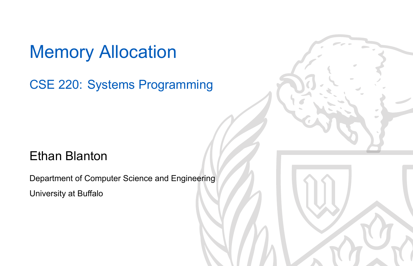Memory Allocation

CSE 220: Systems Programming

#### Ethan Blanton

Department of Computer Science and Engineering University at Buffalo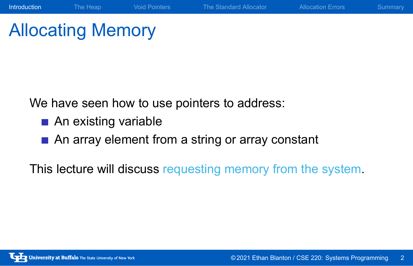## Allocating Memory

We have seen how to use pointers to address:

- An existing variable
- An array element from a string or array constant

This lecture will discuss requesting memory from the system.

Introduction The Heap Void Pointers The Standard Allocator Allocation Errors Summary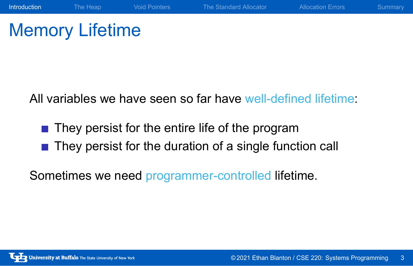## Memory Lifetime

All variables we have seen so far have well-defined lifetime:

**Introduction** The Heap Void Pointers The Standard Allocator Allocation Errors Summary

- They persist for the entire life of the program
- They persist for the duration of a single function call

Sometimes we need programmer-controlled lifetime.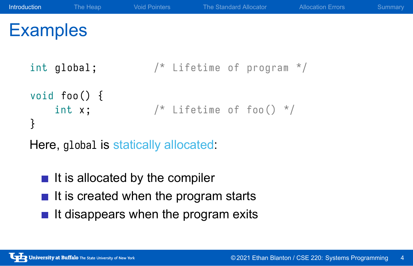# **Examples** int global;  $/$ \* Lifetime of program \*/ void foo () { int  $x$ ;  $/$ \* Lifetime of foo() \*/ } Here, global is statically allocated:  $\blacksquare$  It is allocated by the compiler

**Introduction** The Heap Void Pointers The Standard Allocator Allocation Errors Summary

- $\blacksquare$  It is created when the program starts
- 
- $\blacksquare$  It disappears when the program exits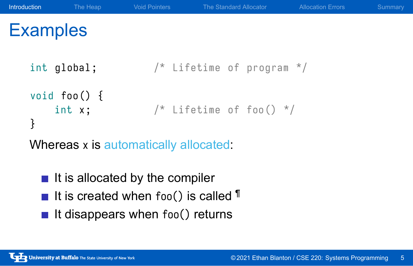# **Examples** int global;  $\frac{1}{2}$  /\* Lifetime of program \*/ void foo () { int  $x$ ;  $/$ \* Lifetime of foo() \*/ } Whereas x is automatically allocated:  $\blacksquare$  It is allocated by the compiler

**Introduction** The Heap Void Pointers The Standard Allocator Allocation Errors Summary

- It is created when foo() is called  $\P$
- It disappears when  $foo()$  returns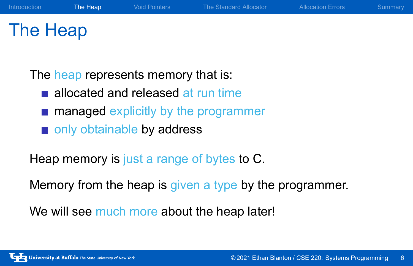## The Heap

The heap represents memory that is:

- allocated and released at run time
- **managed explicitly by the programmer**
- only obtainable by address

Heap memory is just a range of bytes to C.

Memory from the heap is given a type by the programmer.

Introduction The Heap Void Pointers The Standard Allocator Allocation Errors Summary

We will see much more about the heap later!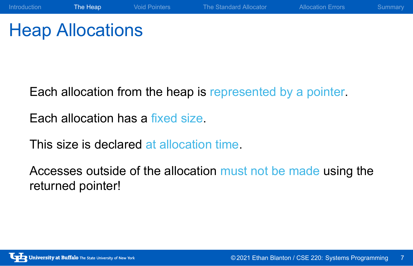### Heap Allocations

Each allocation from the heap is represented by a pointer.

Introduction The Heap Void Pointers The Standard Allocator Allocation Errors Summary

Each allocation has a fixed size.

This size is declared at allocation time.

Accesses outside of the allocation must not be made using the returned pointer!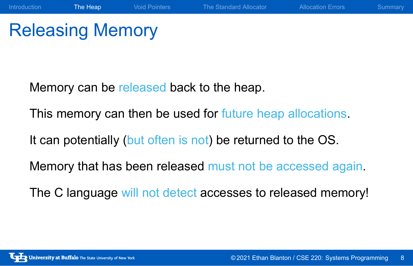### Releasing Memory

Memory can be released back to the heap.

This memory can then be used for future heap allocations.

Introduction The Heap Void Pointers The Standard Allocator Allocation Errors Summary

It can potentially (but often is not) be returned to the OS.

Memory that has been released must not be accessed again.

The C language will not detect accesses to released memory!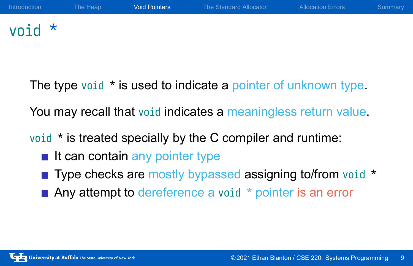#### void \*

The type void \* is used to indicate a pointer of unknown type.

You may recall that void indicates a meaningless return value.

void \* is treated specially by the C compiler and runtime:

- $\blacksquare$  It can contain any pointer type
- Type checks are mostly bypassed assigning to/from void \*
- Any attempt to dereference a void  $*$  pointer is an error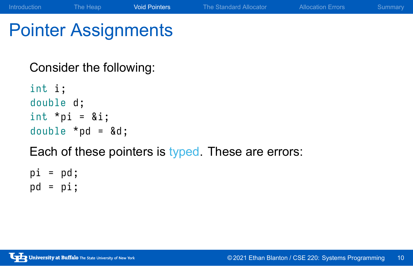# Pointer Assignments

Consider the following:

int i; double d; int  $*$ pi = &i; double  $*$ pd =  $\&d$ Each of these pointers is typed. These are errors:

Introduction The Heap **Void Pointers** The Standard Allocator Allocation Errors Summary

 $pi = pd;$  $pd = pi;$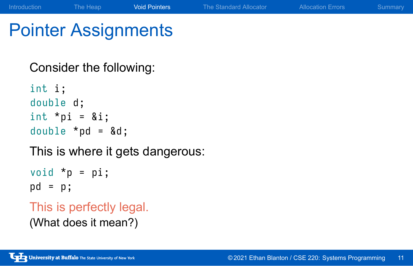## Pointer Assignments

Consider the following:

int i; double d; int  $*$ pi = &i; double  $*$ pd = &d;

This is where it gets dangerous:

Introduction The Heap **Void Pointers** The Standard Allocator Allocation Errors Summary

void  $*p = pi;$ pd = p ;

This is perfectly legal.

(What does it mean?)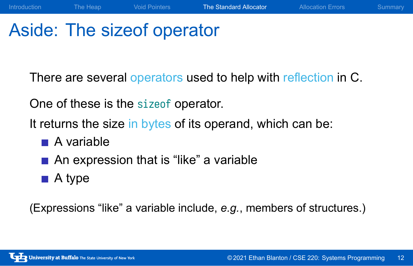### Aside: The sizeof operator

There are several operators used to help with reflection in C.

Introduction The Heap Void Pointers The Standard Allocator Allocation Errors Summary

One of these is the sizeof operator.

It returns the size in bytes of its operand, which can be:

- $\blacksquare$  A variable
- An expression that is "like" a variable
- A type

(Expressions "like" a variable include, *e.g.*, members of structures.)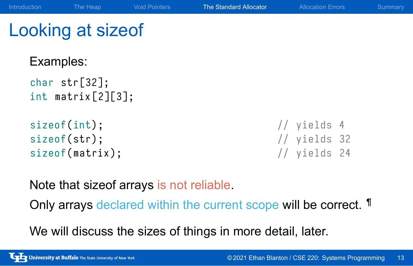### Looking at sizeof

Examples:

```
char str[32];
int matrix [2][3];
sizeof(int); // yields 4
sizeof(str); // yields 32
```
sizeof (matrix);  $\frac{1}{2}$  // yields 24

Note that sizeof arrays is not reliable.

Only arrays declared within the current scope will be correct. ¶

Introduction The Heap Void Pointers The Standard Allocator Allocation Errors Summary

We will discuss the sizes of things in more detail, later.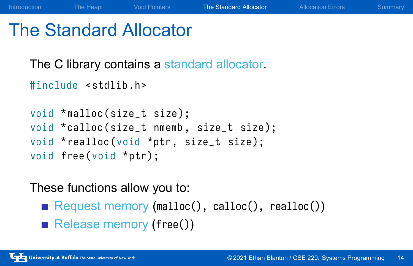#### The Standard Allocator

The C library contains a standard allocator.

```
#include <stdlib.h>
void *malloc(size_t size);
void *calloc(size_t nmemb, size_t size);
void * realloc (void *ptr, size_t size);
void free (void *ptr);
```
#### These functions allow you to:

Request memory (malloc(), calloc(), realloc())

Introduction The Heap Void Pointers The Standard Allocator Allocation Errors Summary

Release memory (free())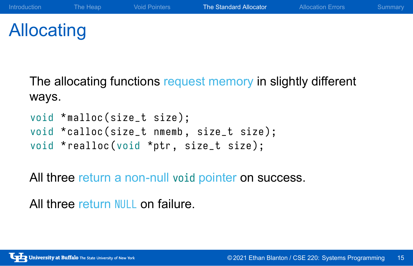## Allocating

The allocating functions request memory in slightly different ways.

```
void *malloc(size_t size);
void *calloc(size_t nmemb, size_t size);
void * realloc (void *ptr, size_t size);
```
All three return a non-null void pointer on success.

All three return NULL on failure.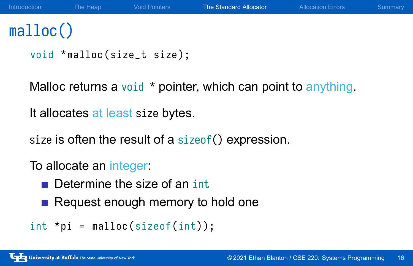## malloc()

```
void *malloc(size_t size);
```
Malloc returns a void \* pointer, which can point to anything.

It allocates at least size bytes.

size is often the result of a sizeof() expression.

To allocate an integer:

- Determine the size of an int
- Request enough memory to hold one

```
int *pi = malloc(sizeof(int));
```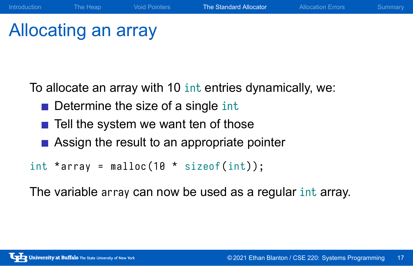### Allocating an array

To allocate an array with 10 int entries dynamically, we:

Introduction The Heap Void Pointers The Standard Allocator Allocation Errors Summary

- Determine the size of a single int
- $\blacksquare$  Tell the system we want ten of those
- Assign the result to an appropriate pointer

int \*array = malloc( $10 *$  sizeof(int));

The variable array can now be used as a regular int array.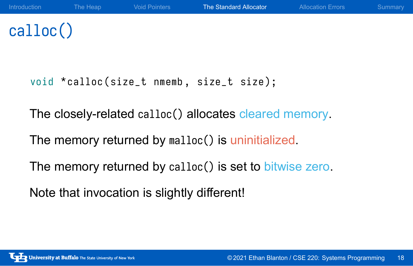# calloc()

void \*calloc(size\_t nmemb, size\_t size);

The closely-related calloc() allocates cleared memory.

The memory returned by malloc() is uninitialized.

The memory returned by calloc() is set to bitwise zero.

Note that invocation is slightly different!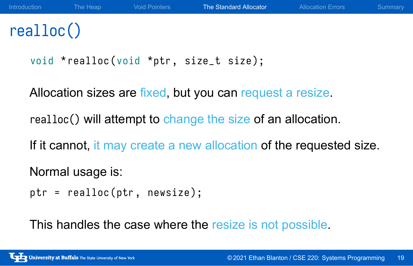## realloc()

```
void * realloc (void *ptr, size_t size);
```
Allocation sizes are fixed, but you can request a resize.

realloc() will attempt to change the size of an allocation.

If it cannot, it may create a new allocation of the requested size.

Normal usage is:

```
ptr = realloc(ptr, newsize);
```
This handles the case where the resize is not possible.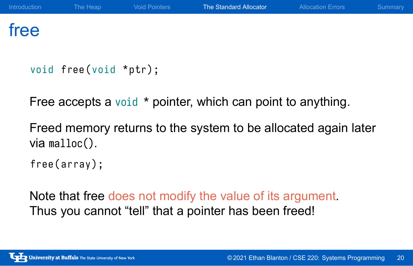#### free

```
void free (void *ptr);
```
Free accepts a void \* pointer, which can point to anything.

Freed memory returns to the system to be allocated again later via malloc().

free (array);

Note that free does not modify the value of its argument. Thus you cannot "tell" that a pointer has been freed!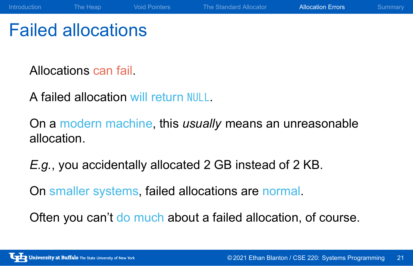#### Failed allocations

Allocations can fail.

A failed allocation will return NULL.

On a modern machine, this *usually* means an unreasonable allocation.

Introduction The Heap Void Pointers The Standard Allocator **Allocation Errors** Summary

*E.g.*, you accidentally allocated 2 GB instead of 2 KB.

On smaller systems, failed allocations are normal.

Often you can't do much about a failed allocation, of course.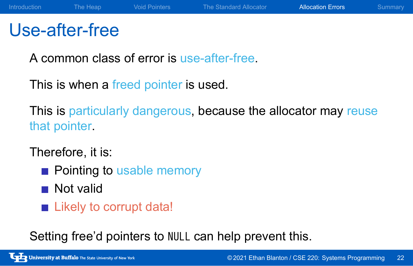### Use-after-free

A common class of error is use-after-free.

This is when a freed pointer is used.

This is particularly dangerous, because the allocator may reuse that pointer.

Therefore, it is:

- **Pointing to usable memory**
- **Not valid**
- **Likely to corrupt data!**

Setting free'd pointers to NULL can help prevent this.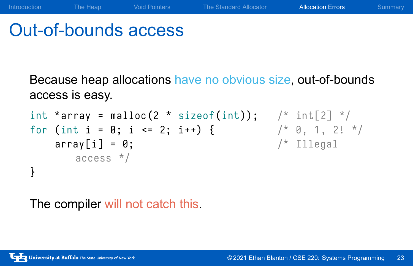### Out-of-bounds access

Because heap allocations have no obvious size, out-of-bounds access is easy.

Introduction The Heap Void Pointers The Standard Allocator Allocation Errors Summary

```
int *array = malloc(2 * sizeof(int)); /* int[2] */
for (int i = 0; i \le 2; i++) { /* 0, 1, 2! */array[i] = 0; /* Illegal
     access */
}
```
The compiler will not catch this.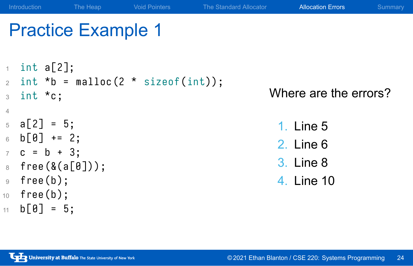#### Practice Example 1  $1$  int a[2];  $2$  int \*b = malloc(2 \* sizeof(int)); <sup>3</sup> int \*c ; 4  $5 \text{ a} [2] = 5;$  $6$  b  $[0]$  += 2;  $7$  c = b + 3;  $8$  free (&(a[0]));  $9$  free (b);  $10$  free (b);  $11$  b  $[0] = 5;$ Where are the errors? 1. Line 5 2. Line 6 3. Line 8 4. Line 10

Introduction The Heap Void Pointers The Standard Allocator **Allocation Errors** Summary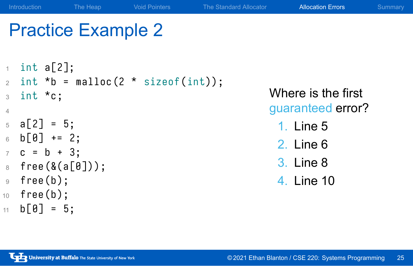#### Practice Example 2  $1$  int a[2];  $2$  int \*b = malloc(2 \* sizeof(int)); <sup>3</sup> int \*c ; 4  $5 \text{ a} [2] = 5;$  $6$  b  $[0]$  += 2;  $7$  c = b + 3;  $8$  free (&(a[0]));  $9$  free (b); Where is the first guaranteed error? 1. Line 5 2. Line 6 3. Line 8 4. Line 10

Introduction The Heap Void Pointers The Standard Allocator **Allocation Errors** Summary

University at Buffalo The State University of New York

 $10$  free (b);  $11$  b  $[0] = 5;$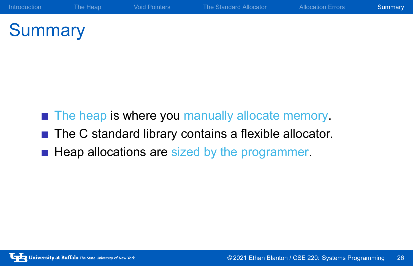# **Summary**

- The heap is where you manually allocate memory.
- The C standard library contains a flexible allocator.
- Heap allocations are sized by the programmer.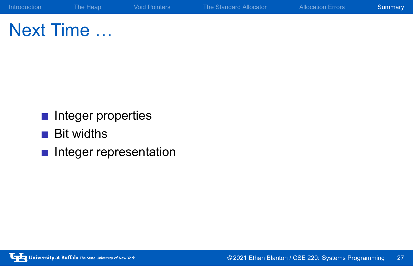## Next Time …

- **Integer properties**
- **Bit widths**
- **Integer representation**

Introduction The Heap Void Pointers The Standard Allocator Allocation Errors Summary